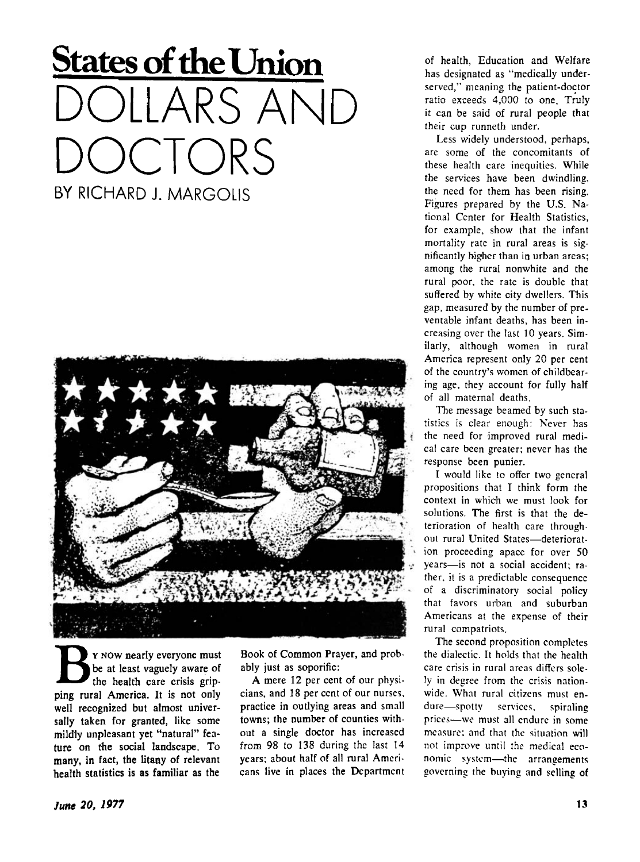## **States of the Union**  DLLARS ANII **CTORS** BY RICHARD J. MARGOLIS



**B**ping rural America. It is not only<br>
ping rural America. It is not only Y NOW nearly everyone must be at least vaguely aware of the health care crisis gripwell recognized but almost universally taken for granted, like some mildly unpleasant yet "natural" feature on the social landscape. To many, in fact, the litany of relevant health statistics is as familiar as the

Book of Common Prayer, and probably just as soporific:

A mere 12 per cent of our physicians, and 18 per cent of our nurses, practice in outlying areas and small towns; the number of counties without a single doctor has increased from 98 to 138 during the last 14 years; about half of all rural Americans live in places the Department

of health, Education and Welfare has designated as "medically underserved," meaning the patient-doctor ratio exceeds 4,000 to one. Truly it can be said of rural people that their cup runneth under.

Less widely understood, perhaps, are some of the concomitants of these health care inequities. While the services have been dwindling, the need for them has been rising. Figures prepared by the U.S. National Center for Health Statistics, for example, show that the infant mortality rate in rural areas is significantly higher than in urban areas; among the rural nonwhite and the rural poor, the rate is double that suffered by white city dwellers. This gap, measured by the number of preventable infant deaths, has been increasing over the last 10 years. Similarly, although women in rural America represent only 20 per cent of the country's women of childbearing age, they account for fully half of all maternal deaths.

The message beamed by such statistics is clear enough: Never has the need for improved rural medical care been greater; never has the response been punier.

I would like to offer two general propositions that I think form the context in which we must look for solutions. The first is that the deterioration of health care throughout rural United States—deterioration proceeding apace for over 50 years—is not a social accident; rather, it is a predictable consequence of a discriminatory social policy that favors urban and suburban Americans at the expense of their rural compatriots.

The second proposition completes the dialectic. It holds that the health care crisis in rural areas differs solely in degree from the crisis nationwide. What rural citizens must endure—spotty services, spiraling prices—we must all endure in some measure: and that the situation will not improve until the medical economic system—the arrangements governing the buying and selling of